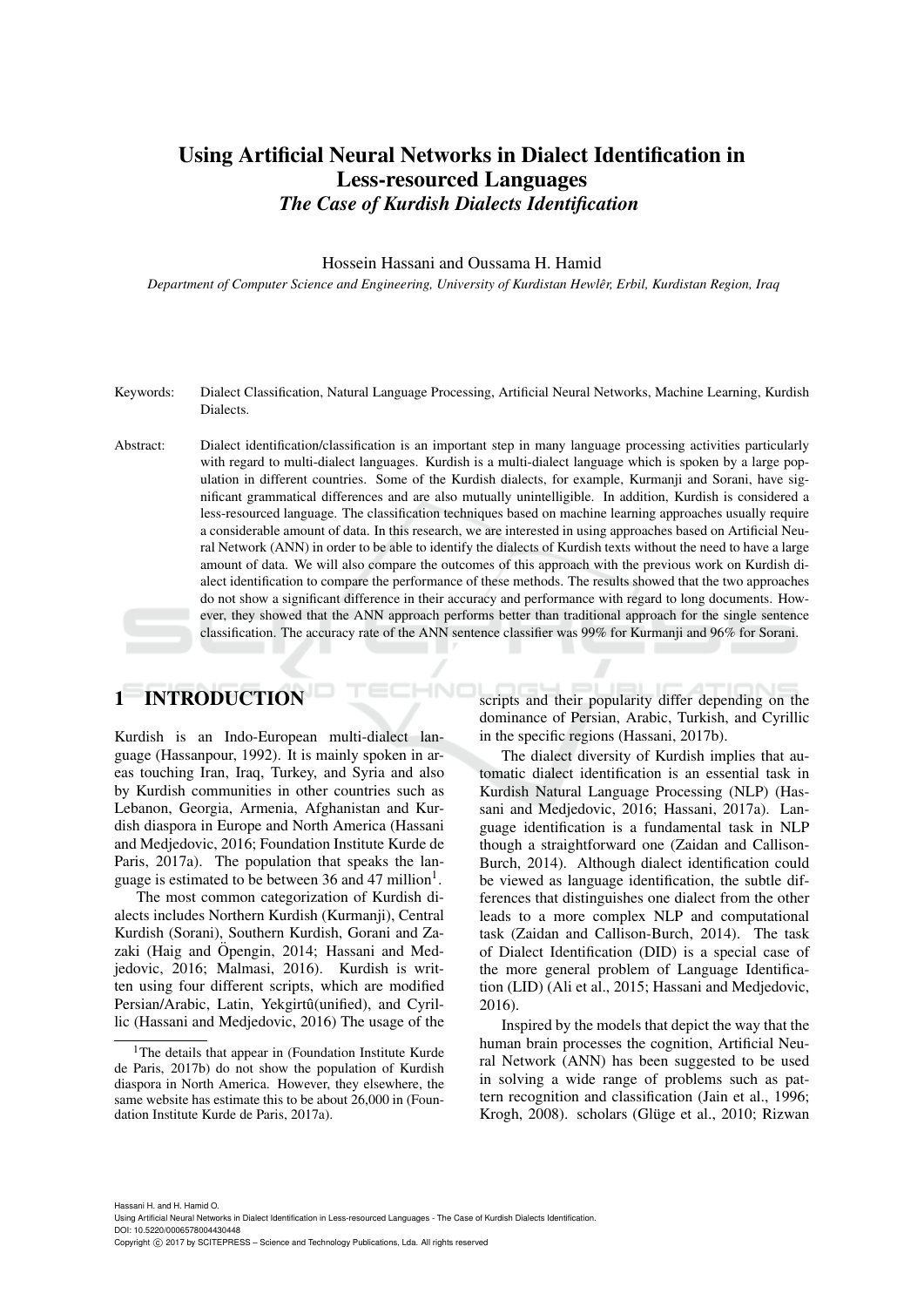# Using Artificial Neural Networks in Dialect Identification in Less-resourced Languages *The Case of Kurdish Dialects Identification*

### Hossein Hassani and Oussama H. Hamid

*Department of Computer Science and Engineering, University of Kurdistan Hewler, Erbil, Kurdistan Region, Iraq ˆ*

- Keywords: Dialect Classification, Natural Language Processing, Artificial Neural Networks, Machine Learning, Kurdish Dialects.
- Abstract: Dialect identification/classification is an important step in many language processing activities particularly with regard to multi-dialect languages. Kurdish is a multi-dialect language which is spoken by a large population in different countries. Some of the Kurdish dialects, for example, Kurmanji and Sorani, have significant grammatical differences and are also mutually unintelligible. In addition, Kurdish is considered a less-resourced language. The classification techniques based on machine learning approaches usually require a considerable amount of data. In this research, we are interested in using approaches based on Artificial Neural Network (ANN) in order to be able to identify the dialects of Kurdish texts without the need to have a large amount of data. We will also compare the outcomes of this approach with the previous work on Kurdish dialect identification to compare the performance of these methods. The results showed that the two approaches do not show a significant difference in their accuracy and performance with regard to long documents. However, they showed that the ANN approach performs better than traditional approach for the single sentence classification. The accuracy rate of the ANN sentence classifier was 99% for Kurmanji and 96% for Sorani.

# 1 INTRODUCTION

Kurdish is an Indo-European multi-dialect language (Hassanpour, 1992). It is mainly spoken in areas touching Iran, Iraq, Turkey, and Syria and also by Kurdish communities in other countries such as Lebanon, Georgia, Armenia, Afghanistan and Kurdish diaspora in Europe and North America (Hassani and Medjedovic, 2016; Foundation Institute Kurde de Paris, 2017a). The population that speaks the language is estimated to be between 36 and 47 million<sup>1</sup>.

The most common categorization of Kurdish dialects includes Northern Kurdish (Kurmanji), Central Kurdish (Sorani), Southern Kurdish, Gorani and Zazaki (Haig and Öpengin, 2014; Hassani and Medjedovic, 2016; Malmasi, 2016). Kurdish is written using four different scripts, which are modified Persian/Arabic, Latin, Yekgirtû(unified), and Cyrillic (Hassani and Medjedovic, 2016) The usage of the scripts and their popularity differ depending on the dominance of Persian, Arabic, Turkish, and Cyrillic in the specific regions (Hassani, 2017b).

The dialect diversity of Kurdish implies that automatic dialect identification is an essential task in Kurdish Natural Language Processing (NLP) (Hassani and Medjedovic, 2016; Hassani, 2017a). Language identification is a fundamental task in NLP though a straightforward one (Zaidan and Callison-Burch, 2014). Although dialect identification could be viewed as language identification, the subtle differences that distinguishes one dialect from the other leads to a more complex NLP and computational task (Zaidan and Callison-Burch, 2014). The task of Dialect Identification (DID) is a special case of the more general problem of Language Identification (LID) (Ali et al., 2015; Hassani and Medjedovic, 2016).

Inspired by the models that depict the way that the human brain processes the cognition, Artificial Neural Network (ANN) has been suggested to be used in solving a wide range of problems such as pattern recognition and classification (Jain et al., 1996; Krogh, 2008). scholars (Glüge et al., 2010; Rizwan

<sup>&</sup>lt;sup>1</sup>The details that appear in (Foundation Institute Kurde de Paris, 2017b) do not show the population of Kurdish diaspora in North America. However, they elsewhere, the same website has estimate this to be about 26,000 in (Foundation Institute Kurde de Paris, 2017a).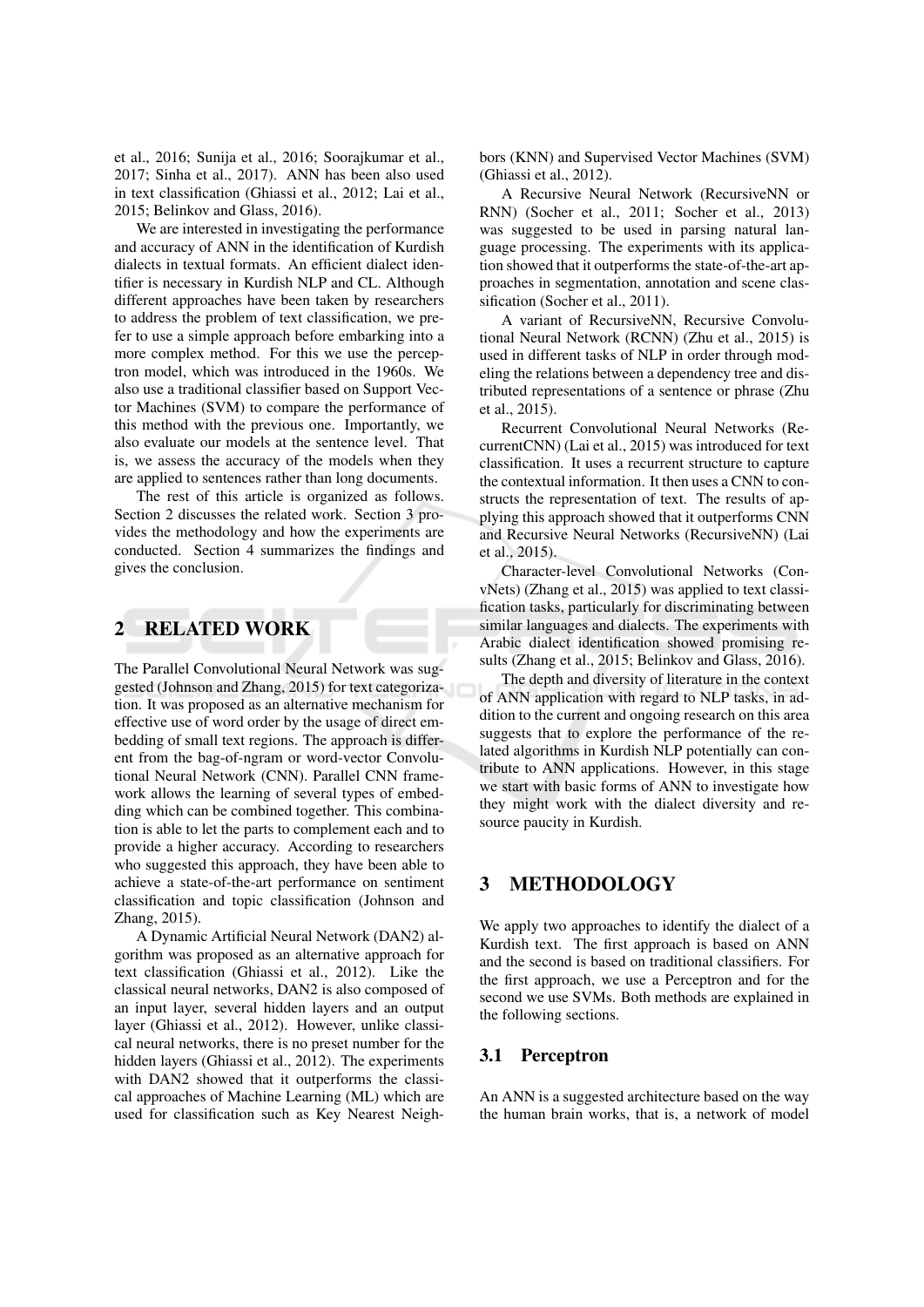et al., 2016; Sunija et al., 2016; Soorajkumar et al., 2017; Sinha et al., 2017). ANN has been also used in text classification (Ghiassi et al., 2012; Lai et al., 2015; Belinkov and Glass, 2016).

We are interested in investigating the performance and accuracy of ANN in the identification of Kurdish dialects in textual formats. An efficient dialect identifier is necessary in Kurdish NLP and CL. Although different approaches have been taken by researchers to address the problem of text classification, we prefer to use a simple approach before embarking into a more complex method. For this we use the perceptron model, which was introduced in the 1960s. We also use a traditional classifier based on Support Vector Machines (SVM) to compare the performance of this method with the previous one. Importantly, we also evaluate our models at the sentence level. That is, we assess the accuracy of the models when they are applied to sentences rather than long documents.

The rest of this article is organized as follows. Section 2 discusses the related work. Section 3 provides the methodology and how the experiments are conducted. Section 4 summarizes the findings and gives the conclusion.

### $\overline{2}$ **RELATED WORK**

The Parallel Convolutional Neural Network was suggested (Johnson and Zhang, 2015) for text categorization. It was proposed as an alternative mechanism for effective use of word order by the usage of direct embedding of small text regions. The approach is different from the bag-of-ngram or word-vector Convolutional Neural Network (CNN). Parallel CNN framework allows the learning of several types of embedding which can be combined together. This combination is able to let the parts to complement each and to provide a higher accuracy. According to researchers who suggested this approach, they have been able to achieve a state-of-the-art performance on sentiment classification and topic classification (Johnson and Zhang, 2015).

A Dynamic Artificial Neural Network (DAN2) algorithm was proposed as an alternative approach for text classification (Ghiassi et al., 2012). Like the classical neural networks, DAN2 is also composed of an input layer, several hidden layers and an output layer (Ghiassi et al., 2012). However, unlike classical neural networks, there is no preset number for the hidden layers (Ghiassi et al., 2012). The experiments with DAN2 showed that it outperforms the classical approaches of Machine Learning (ML) which are used for classification such as Key Nearest Neighbors (KNN) and Supervised Vector Machines (SVM) (Ghiassi et al., 2012).

A Recursive Neural Network (RecursiveNN or RNN) (Socher et al., 2011; Socher et al., 2013) was suggested to be used in parsing natural language processing. The experiments with its application showed that it outperforms the state-of-the-art approaches in segmentation, annotation and scene classification (Socher et al., 2011).

A variant of RecursiveNN, Recursive Convolutional Neural Network (RCNN) (Zhu et al., 2015) is used in different tasks of NLP in order through modeling the relations between a dependency tree and distributed representations of a sentence or phrase (Zhu et al., 2015).

Recurrent Convolutional Neural Networks (RecurrentCNN) (Lai et al., 2015) was introduced for text classification. It uses a recurrent structure to capture the contextual information. It then uses a CNN to constructs the representation of text. The results of applying this approach showed that it outperforms CNN and Recursive Neural Networks (RecursiveNN) (Lai et al., 2015).

Character-level Convolutional Networks (ConvNets) (Zhang et al., 2015) was applied to text classification tasks, particularly for discriminating between similar languages and dialects. The experiments with Arabic dialect identification showed promising results (Zhang et al., 2015; Belinkov and Glass, 2016).

The depth and diversity of literature in the context of ANN application with regard to NLP tasks, in addition to the current and ongoing research on this area suggests that to explore the performance of the related algorithms in Kurdish NLP potentially can contribute to ANN applications. However, in this stage we start with basic forms of ANN to investigate how they might work with the dialect diversity and resource paucity in Kurdish.

### **METHODOLOGY** 3

We apply two approaches to identify the dialect of a Kurdish text. The first approach is based on ANN and the second is based on traditional classifiers. For the first approach, we use a Perceptron and for the second we use SVMs. Both methods are explained in the following sections.

#### **3.1** Perceptron

An ANN is a suggested architecture based on the way the human brain works, that is, a network of model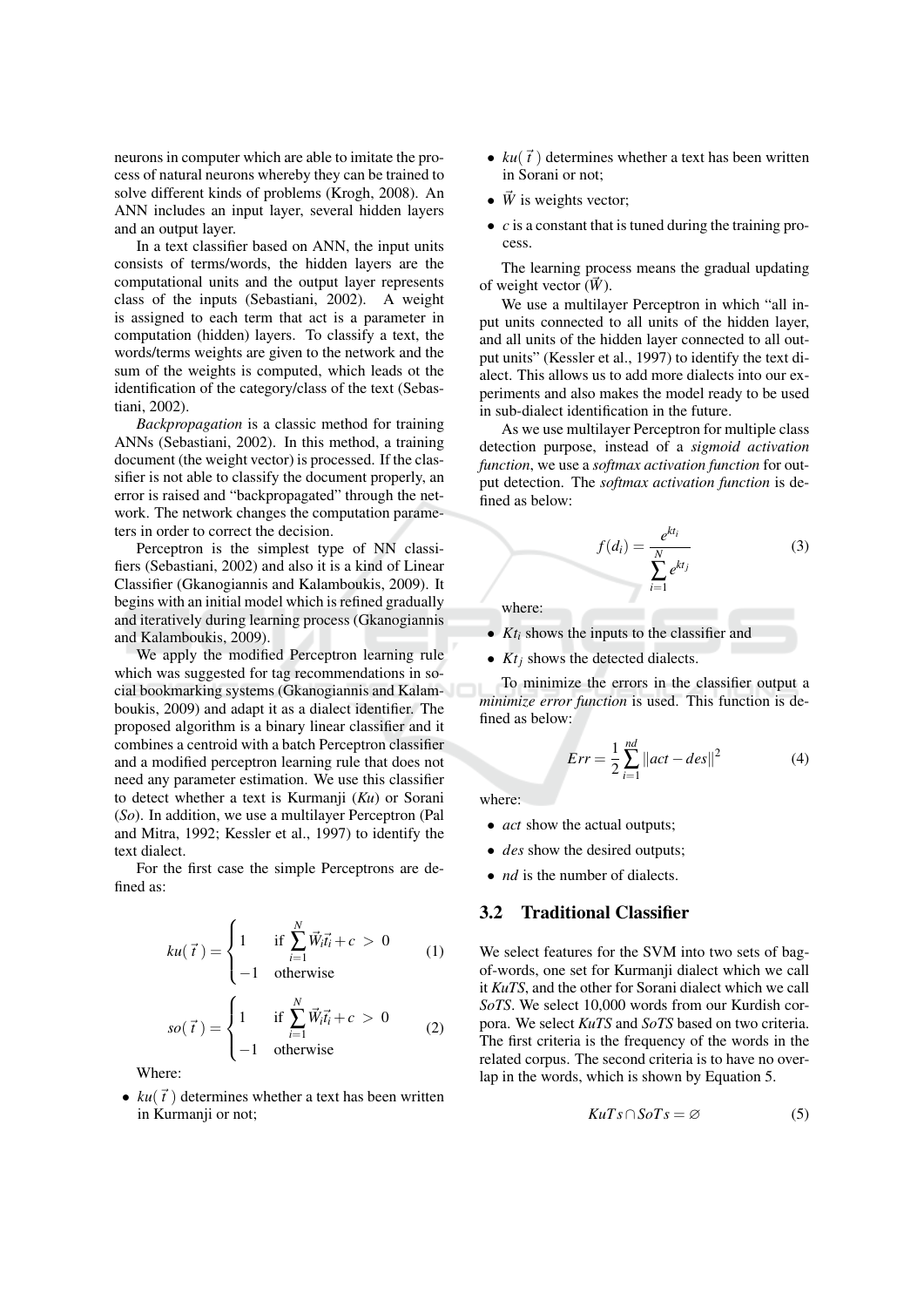neurons in computer which are able to imitate the process of natural neurons whereby they can be trained to solve different kinds of problems (Krogh, 2008). An ANN includes an input layer, several hidden layers and an output layer.

In a text classifier based on ANN, the input units consists of terms/words, the hidden layers are the computational units and the output layer represents class of the inputs (Sebastiani, 2002). A weight is assigned to each term that act is a parameter in computation (hidden) lavers. To classify a text, the words/terms weights are given to the network and the sum of the weights is computed, which leads ot the identification of the category/class of the text (Sebastiani, 2002).

Backpropagation is a classic method for training ANNs (Sebastiani, 2002). In this method, a training document (the weight vector) is processed. If the classifier is not able to classify the document properly, an error is raised and "backpropagated" through the network. The network changes the computation parameters in order to correct the decision.

Perceptron is the simplest type of NN classifiers (Sebastiani, 2002) and also it is a kind of Linear Classifier (Gkanogiannis and Kalamboukis, 2009). It begins with an initial model which is refined gradually and iteratively during learning process (Gkanogiannis and Kalamboukis, 2009).

We apply the modified Perceptron learning rule which was suggested for tag recommendations in social bookmarking systems (Gkanogiannis and Kalamboukis, 2009) and adapt it as a dialect identifier. The proposed algorithm is a binary linear classifier and it combines a centroid with a batch Perceptron classifier and a modified perceptron learning rule that does not need any parameter estimation. We use this classifier to detect whether a text is Kurmanji  $(Ku)$  or Sorani  $(S<sub>o</sub>)$ . In addition, we use a multilayer Perceptron (Pal and Mitra, 1992; Kessler et al., 1997) to identify the text dialect.

For the first case the simple Perceptrons are defined as:

$$
ku(\vec{t}) = \begin{cases} 1 & \text{if } \sum_{i=1}^{N} \vec{W}_i \vec{t}_i + c > 0 \\ -1 & \text{otherwise} \end{cases}
$$
 (1)

$$
so(\vec{t}) = \begin{cases} 1 & \text{if } \sum_{i=1}^{N} \vec{W}_i \vec{t}_i + c > 0 \\ -1 & \text{otherwise} \end{cases}
$$
 (2)

Where:

•  $ku(\vec{t})$  determines whether a text has been written in Kurmanji or not;

- $ku(\vec{t})$  determines whether a text has been written in Sorani or not:
- $\bullet$   $\vec{W}$  is weights vector:
- $\bullet$  c is a constant that is tuned during the training process.

The learning process means the gradual updating of weight vector  $(\vec{W})$ .

We use a multilayer Perceptron in which "all input units connected to all units of the hidden layer, and all units of the hidden layer connected to all output units" (Kessler et al., 1997) to identify the text dialect. This allows us to add more dialects into our experiments and also makes the model ready to be used in sub-dialect identification in the future.

As we use multilayer Perceptron for multiple class detection purpose, instead of a sigmoid activation function, we use a softmax activation function for output detection. The softmax activation function is defined as below:

$$
f(d_i) = \frac{e^{kt_i}}{\sum_{i=1}^{N} e^{kt_j}}
$$
 (3)

where:

•  $Kt_i$  shows the inputs to the classifier and

•  $Kt_i$  shows the detected dialects.

To minimize the errors in the classifier output a minimize error function is used. This function is defined as below:

$$
Err = \frac{1}{2} \sum_{i=1}^{nd} \|act - des\|^2 \tag{4}
$$

where:

- *act* show the actual outputs:
- *des* show the desired outputs;
- $\bullet$  *nd* is the number of dialects.

#### $3.2$ **Traditional Classifier**

We select features for the SVM into two sets of bagof-words, one set for Kurmanji dialect which we call it KuTS, and the other for Sorani dialect which we call SoTS. We select 10,000 words from our Kurdish corpora. We select KuTS and SoTS based on two criteria. The first criteria is the frequency of the words in the related corpus. The second criteria is to have no overlap in the words, which is shown by Equation 5.

$$
KuTs \cap SoTs = \varnothing \tag{5}
$$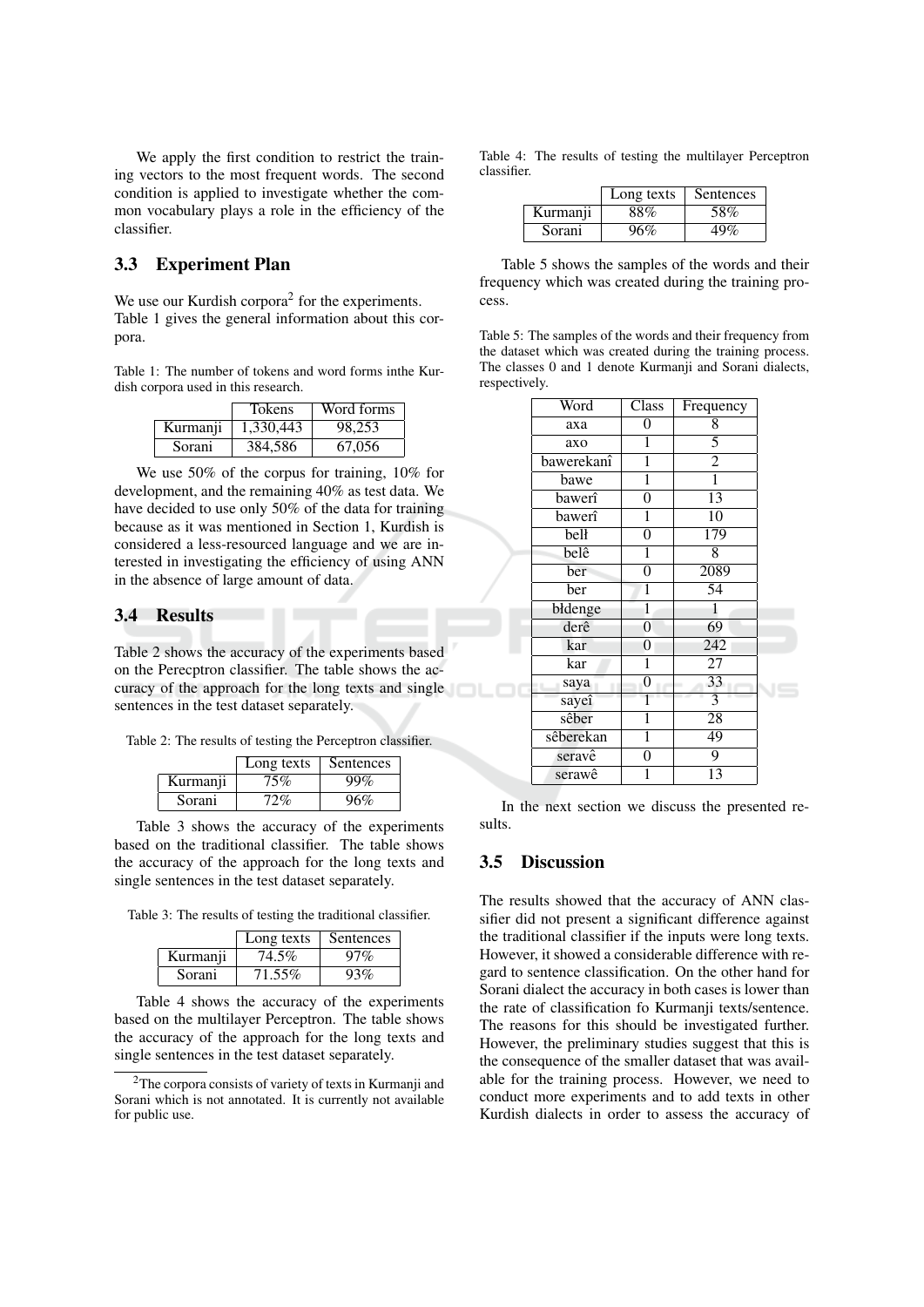We apply the first condition to restrict the training vectors to the most frequent words. The second condition is applied to investigate whether the common vocabulary plays a role in the efficiency of the classifier.

## 3.3 Experiment Plan

We use our Kurdish corpora<sup>2</sup> for the experiments. Table 1 gives the general information about this corpora.

Table 1: The number of tokens and word forms inthe Kurdish corpora used in this research.

|          | <b>Tokens</b> | Word forms |
|----------|---------------|------------|
| Kurmanji | 1,330,443     | 98.253     |
| Sorani   | 384,586       | 67,056     |

We use 50% of the corpus for training, 10% for development, and the remaining 40% as test data. We have decided to use only 50% of the data for training because as it was mentioned in Section 1, Kurdish is considered a less-resourced language and we are interested in investigating the efficiency of using ANN in the absence of large amount of data.

### 3.4 Results

Table 2 shows the accuracy of the experiments based on the Perecptron classifier. The table shows the accuracy of the approach for the long texts and single sentences in the test dataset separately.

Table 2: The results of testing the Perceptron classifier.

|          | Long texts | Sentences |
|----------|------------|-----------|
| Kurmanji | 75%        | 99%       |
| Sorani   | 72%        | 96%       |

Table 3 shows the accuracy of the experiments based on the traditional classifier. The table shows the accuracy of the approach for the long texts and single sentences in the test dataset separately.

Table 3: The results of testing the traditional classifier.

|          | Long texts | Sentences |
|----------|------------|-----------|
| Kurmanii | 74.5%      | 97%       |
| Sorani   | 71.55%     | 93%       |

Table 4 shows the accuracy of the experiments based on the multilayer Perceptron. The table shows the accuracy of the approach for the long texts and single sentences in the test dataset separately.

Table 4: The results of testing the multilayer Perceptron classifier

|          | Long texts | Sentences |
|----------|------------|-----------|
| Kurmanji | 88%        | 58%       |
| Sorani   | 96%        | 49%       |

Table 5 shows the samples of the words and their frequency which was created during the training process.

Table 5: The samples of the words and their frequency from the dataset which was created during the training process. The classes 0 and 1 denote Kurmanji and Sorani dialects, respectively.

| Word       | Class          | Frequency        |  |
|------------|----------------|------------------|--|
| axa        | 0              | 8                |  |
| axo        | 1              | 5                |  |
| bawerekanî | $\overline{1}$ | $\overline{2}$   |  |
| bawe       | 1              | $\overline{1}$   |  |
| bawerî     | $\overline{0}$ | 13               |  |
| bawerî     | $\overline{1}$ | $\overline{10}$  |  |
| bell       | $\overline{0}$ | $\overline{179}$ |  |
| belê       | 1              | 8                |  |
| ber        | $\overline{0}$ | 2089             |  |
| ber        | $\overline{1}$ | 54               |  |
| błdenge    | $\mathbf{1}$   | 1                |  |
| derê       | $\overline{0}$ | $\overline{69}$  |  |
| kar        | 0              | 242              |  |
| kar        | 1              | $\overline{27}$  |  |
| saya       | 0              | 33               |  |
| sayeî      |                | $\overline{3}$   |  |
| sêber      | 1              | $\overline{28}$  |  |
| sêberekan  | $\overline{1}$ | 49               |  |
| seravê     | 0              | $\overline{9}$   |  |
| serawê     | 1              | $\overline{13}$  |  |

In the next section we discuss the presented results.

#### $3.5$ **Discussion**

The results showed that the accuracy of ANN classifier did not present a significant difference against the traditional classifier if the inputs were long texts. However, it showed a considerable difference with regard to sentence classification. On the other hand for Sorani dialect the accuracy in both cases is lower than the rate of classification fo Kurmanji texts/sentence. The reasons for this should be investigated further. However, the preliminary studies suggest that this is the consequence of the smaller dataset that was available for the training process. However, we need to conduct more experiments and to add texts in other Kurdish dialects in order to assess the accuracy of

 $2$ The corpora consists of variety of texts in Kurmanii and Sorani which is not annotated. It is currently not available for public use.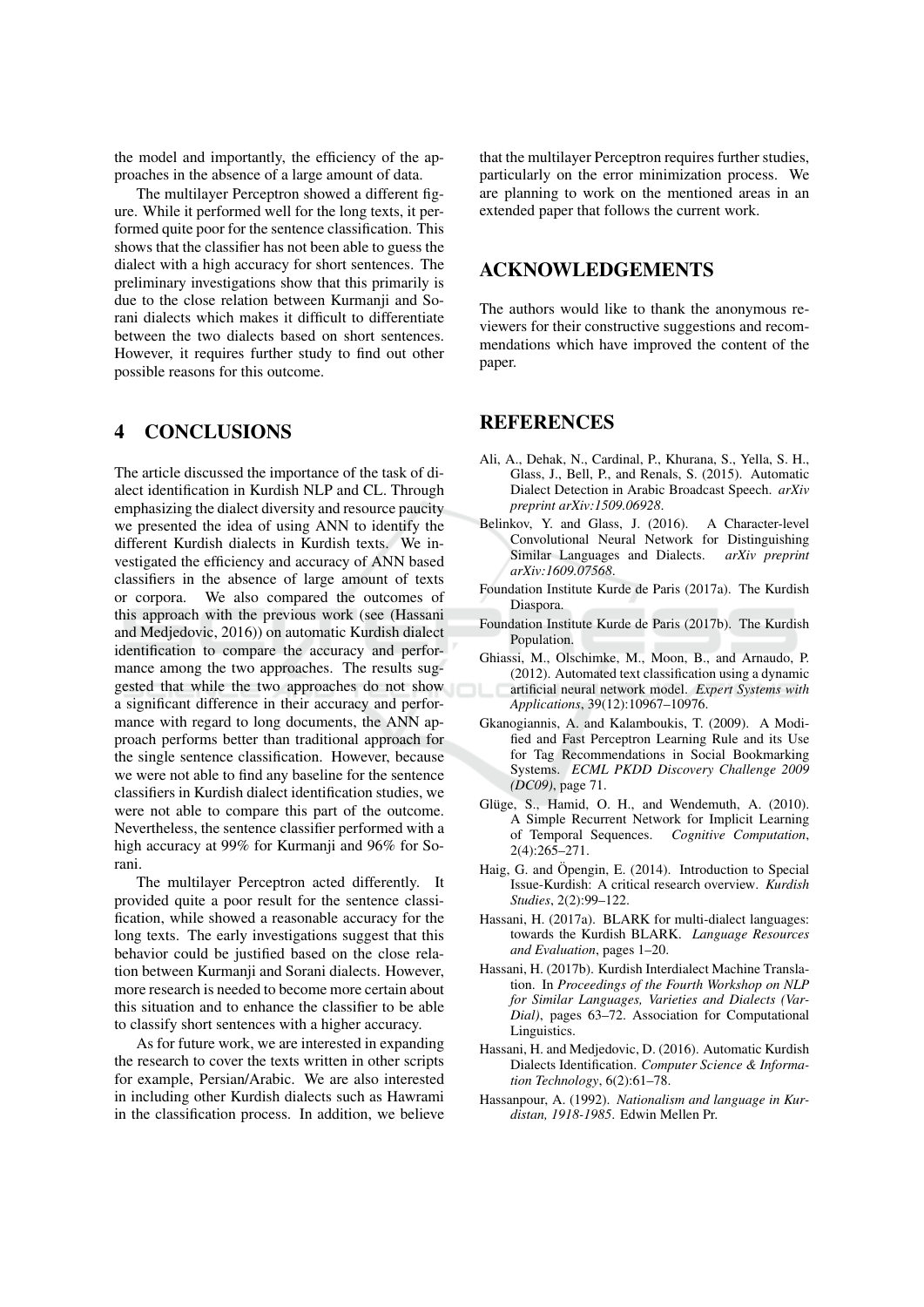the model and importantly, the efficiency of the approaches in the absence of a large amount of data.

The multilayer Perceptron showed a different figure. While it performed well for the long texts, it performed quite poor for the sentence classification. This shows that the classifier has not been able to guess the dialect with a high accuracy for short sentences. The preliminary investigations show that this primarily is due to the close relation between Kurmanji and Sorani dialects which makes it difficult to differentiate between the two dialects based on short sentences. However, it requires further study to find out other possible reasons for this outcome.

#### **CONCLUSIONS**  $\overline{\mathbf{4}}$

The article discussed the importance of the task of dialect identification in Kurdish NLP and CL. Through emphasizing the dialect diversity and resource paucity we presented the idea of using ANN to identify the different Kurdish dialects in Kurdish texts. We investigated the efficiency and accuracy of ANN based classifiers in the absence of large amount of texts We also compared the outcomes of or corpora. this approach with the previous work (see (Hassani and Medjedovic, 2016)) on automatic Kurdish dialect identification to compare the accuracy and performance among the two approaches. The results suggested that while the two approaches do not show a significant difference in their accuracy and performance with regard to long documents, the ANN approach performs better than traditional approach for the single sentence classification. However, because we were not able to find any baseline for the sentence classifiers in Kurdish dialect identification studies, we were not able to compare this part of the outcome. Nevertheless, the sentence classifier performed with a high accuracy at 99% for Kurmanji and 96% for Sorani.

The multilayer Perceptron acted differently. It provided quite a poor result for the sentence classification, while showed a reasonable accuracy for the long texts. The early investigations suggest that this behavior could be justified based on the close relation between Kurmanji and Sorani dialects. However, more research is needed to become more certain about this situation and to enhance the classifier to be able to classify short sentences with a higher accuracy.

As for future work, we are interested in expanding the research to cover the texts written in other scripts for example, Persian/Arabic. We are also interested in including other Kurdish dialects such as Hawrami in the classification process. In addition, we believe

that the multilayer Perceptron requires further studies, particularly on the error minimization process. We are planning to work on the mentioned areas in an extended paper that follows the current work.

## **ACKNOWLEDGEMENTS**

The authors would like to thank the anonymous reviewers for their constructive suggestions and recommendations which have improved the content of the paper.

# **REFERENCES**

- Ali, A., Dehak, N., Cardinal, P., Khurana, S., Yella, S. H., Glass, J., Bell, P., and Renals, S. (2015). Automatic Dialect Detection in Arabic Broadcast Speech. arXiv preprint arXiv:1509.06928.
- Belinkov, Y. and Glass, J. (2016). A Character-level Convolutional Neural Network for Distinguishing Similar Languages and Dialects. arXiv preprint arXiv:1609.07568.
- Foundation Institute Kurde de Paris (2017a). The Kurdish Diaspora.
- Foundation Institute Kurde de Paris (2017b). The Kurdish Population.
- Ghiassi, M., Olschimke, M., Moon, B., and Arnaudo, P. (2012). Automated text classification using a dynamic artificial neural network model. Expert Systems with Applications, 39(12):10967-10976.
- Gkanogiannis, A. and Kalamboukis, T. (2009). A Modified and Fast Perceptron Learning Rule and its Use for Tag Recommendations in Social Bookmarking Systems. ECML PKDD Discovery Challenge 2009 (DC09), page 71.
- Glüge, S., Hamid, O. H., and Wendemuth, A. (2010). A Simple Recurrent Network for Implicit Learning of Temporal Sequences. Cognitive Computation,  $2(4):26\overline{5}-271.$
- Haig, G. and Öpengin, E. (2014). Introduction to Special Issue-Kurdish: A critical research overview. Kurdish Studies, 2(2):99-122.
- Hassani, H. (2017a). BLARK for multi-dialect languages: towards the Kurdish BLARK. Language Resources and Evaluation, pages 1-20.
- Hassani, H. (2017b). Kurdish Interdialect Machine Translation. In Proceedings of the Fourth Workshop on NLP for Similar Languages, Varieties and Dialects (Var- $Dial$ ), pages  $63-72$ . Association for Computational Linguistics.
- Hassani, H. and Medjedovic, D. (2016). Automatic Kurdish Dialects Identification. Computer Science & Information Technology,  $6(2):61-78$ .
- Hassanpour, A. (1992). Nationalism and language in Kurdistan, 1918-1985. Edwin Mellen Pr.